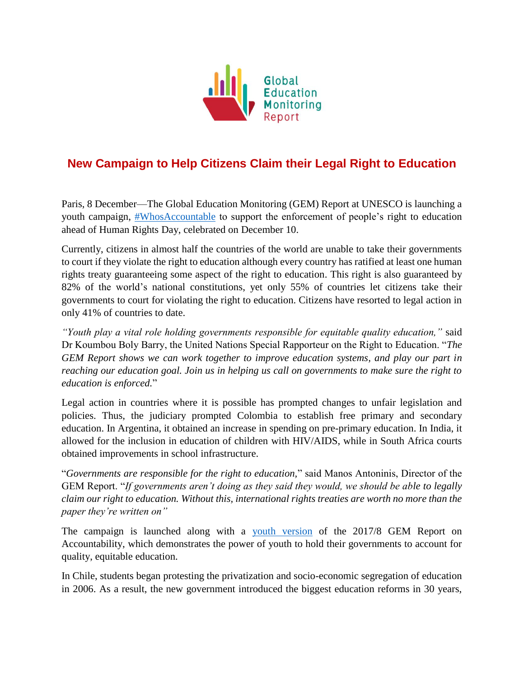

## **New Campaign to Help Citizens Claim their Legal Right to Education**

Paris, 8 December—The Global Education Monitoring (GEM) Report at UNESCO is launching a youth campaign, [#WhosAccountable](http://gem-report-2017.unesco.org/en/chapter/youth-report-join-the-campaign/) to support the enforcement of people's right to education ahead of Human Rights Day, celebrated on December 10.

Currently, citizens in almost half the countries of the world are unable to take their governments to court if they violate the right to education although every country has ratified at least one human rights treaty guaranteeing some aspect of the right to education. This right is also guaranteed by 82% of the world's national constitutions, yet only 55% of countries let citizens take their governments to court for violating the right to education. Citizens have resorted to legal action in only 41% of countries to date.

*"Youth play a vital role holding governments responsible for equitable quality education,"* said Dr Koumbou Boly Barry, the United Nations Special Rapporteur on the Right to Education. "*The GEM Report shows we can work together to improve education systems, and play our part in reaching our education goal. Join us in helping us call on governments to make sure the right to education is enforced.*"

Legal action in countries where it is possible has prompted changes to unfair legislation and policies. Thus, the judiciary prompted Colombia to establish free primary and secondary education. In Argentina, it obtained an increase in spending on pre-primary education. In India, it allowed for the inclusion in education of children with HIV/AIDS, while in South Africa courts obtained improvements in school infrastructure.

"*Governments are responsible for the right to education,*" said Manos Antoninis, Director of the GEM Report. "*If governments aren't doing as they said they would, we should be able to legally claim our right to education. Without this, international rights treaties are worth no more than the paper they're written on"*

The campaign is launched along with a [youth version](http://gem-report-2017.unesco.org/en/youth-report/) of the 2017/8 GEM Report on Accountability, which demonstrates the power of youth to hold their governments to account for quality, equitable education.

In Chile, students began protesting the privatization and socio-economic segregation of education in 2006. As a result, the new government introduced the biggest education reforms in 30 years,